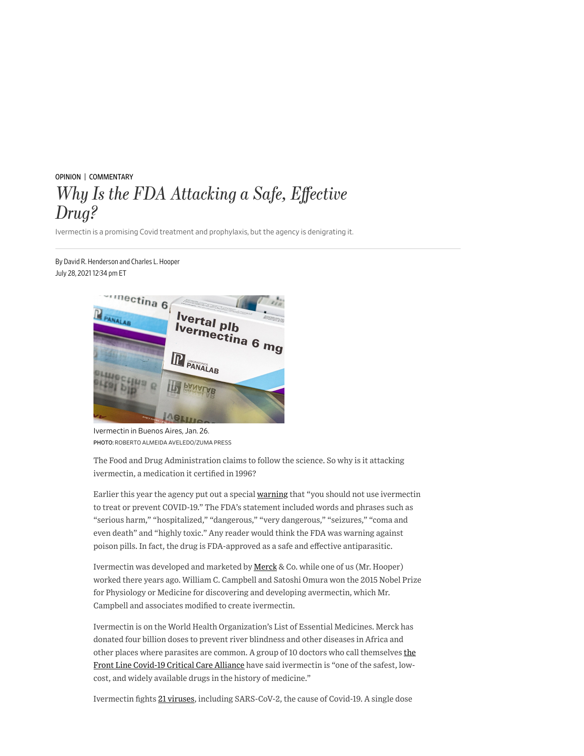## [OPINION](https://www.wsj.com/news/opinion?mod=breadcrumb) | [COMMENTARY](https://www.wsj.com/news/types/commentary-u-s?mod=breadcrumb) *Why Is the FDA Attacking a Safe, E*ff*ective Drug?*

Ivermectin is a promising Covid treatment and prophylaxis, but the agency is denigrating it.

## By David R. Henderson and Charles L. Hooper July 28, 2021 12:34 pm ET



Ivermectin in Buenos Aires, Jan. 26. PHOTO: ROBERTO ALMEIDA AVELEDO/ZUMA PRESS

The Food and Drug Administration claims to follow the science. So why is it attacking ivermectin, a medication it certified in 1996?

Earlier this year the agency put out a special [warning](https://www.fda.gov/consumers/consumer-updates/why-you-should-not-use-ivermectin-treat-or-prevent-covid-19) that "you should not use ivermectin to treat or prevent COVID-19." The FDA's statement included words and phrases such as "serious harm," "hospitalized," "dangerous," "very dangerous," "seizures," "coma and even death" and "highly toxic." Any reader would think the FDA was warning against poison pills. In fact, the drug is FDA-approved as a safe and effective antiparasitic.

Ivermectin was developed and marketed by [Merck](https://www.wsj.com/market-data/quotes/MRK) & Co. while one of us (Mr. Hooper) worked there years ago. William C. Campbell and Satoshi Omura won the 2015 Nobel Prize for Physiology or Medicine for discovering and developing avermectin, which Mr. Campbell and associates modified to create ivermectin.

Ivermectin is on the World Health Organization's List of Essential Medicines. Merck has donated four billion doses to prevent river blindness and other diseases in Africa and other places where parasites are common. A group of 10 doctors who call themselves the [Front Line Covid-19 Critical Care Alliance have said ivermectin is "one of the safest, low](https://covid19criticalcare.com/about/)cost, and widely available drugs in the history of medicine."

Ivermectin fights [21 viruses](https://www.sciencedirect.com/science/article/abs/pii/S0006291X20319598?via=ihub), including SARS-CoV-2, the cause of Covid-19. A single dose